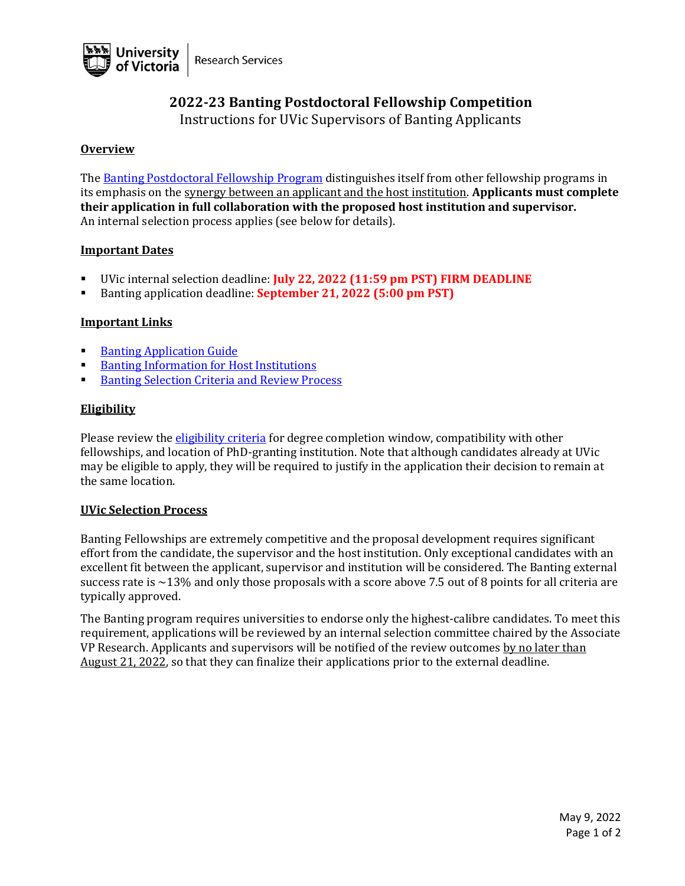

# **2022-23 Banting Postdoctoral Fellowship Competition**

Instructions for UVic Supervisors of Banting Applicants

#### **Overview**

The **Banting Postdoctoral Fellowship Program** distinguishes itself from other fellowship programs in its emphasis on the synergy between an applicant and the host institution. **Applicants must complete their application in full collaboration with the proposed host institution and supervisor.** An internal selection process applies (see below for details).

### **Important Dates**

- UVic internal selection deadline: **July 22, 2022 (11:59 pm PST) FIRM DEADLINE**
- Banting application deadline: **September 21, 2022 (5:00 pm PST)**

## **Important Links**

- **[Banting Application Guide](https://banting.fellowships-bourses.gc.ca/en/app-dem_guide.html)**<br>Banting Information for He
- [Banting Information for Host Institutions](https://banting.fellowships-bourses.gc.ca/en/app-dem_instit-etab.html)
- [Banting Selection Criteria and Review Process](https://banting.fellowships-bourses.gc.ca/en/rev-eval_overview-apercu.html)

### **Eligibility**

Please review the [eligibility criteria](http://banting.fellowships-bourses.gc.ca/en/app-dem_elig-adm.html) for degree completion window, compatibility with other fellowships, and location of PhD-granting institution. Note that although candidates already at UVic may be eligible to apply, they will be required to justify in the application their decision to remain at the same location.

## **UVic Selection Process**

Banting Fellowships are extremely competitive and the proposal development requires significant effort from the candidate, the supervisor and the host institution. Only exceptional candidates with an excellent fit between the applicant, supervisor and institution will be considered. The Banting external success rate is ~13% and only those proposals with a score above 7.5 out of 8 points for all criteria are typically approved.

The Banting program requires universities to endorse only the highest-calibre candidates. To meet this requirement, applications will be reviewed by an internal selection committee chaired by the Associate VP Research. Applicants and supervisors will be notified of the review outcomes by no later than August 21, 2022, so that they can finalize their applications prior to the external deadline.